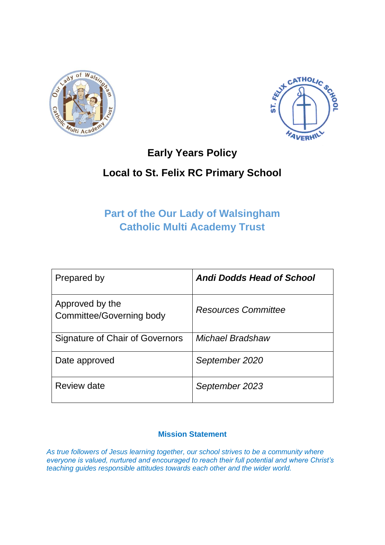



## **Early Years Policy**

# **Local to St. Felix RC Primary School**

# **Part of the Our Lady of Walsingham Catholic Multi Academy Trust**

| Prepared by                                 | <b>Andi Dodds Head of School</b> |
|---------------------------------------------|----------------------------------|
| Approved by the<br>Committee/Governing body | <b>Resources Committee</b>       |
| Signature of Chair of Governors             | Michael Bradshaw                 |
| Date approved                               | September 2020                   |
| Review date                                 | September 2023                   |

## **Mission Statement**

*As true followers of Jesus learning together, our school strives to be a community where everyone is valued, nurtured and encouraged to reach their full potential and where Christ's teaching guides responsible attitudes towards each other and the wider world.*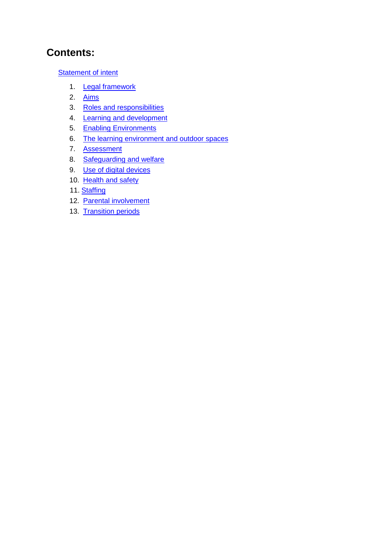## **Contents:**

**[Statement of intent](#page-2-0)** 

- 1. Legal framework
- 2. Aims
- 3. Roles and responsibilities
- 4. [Learning and development](#page-6-0)
- 5. Enabling Environments
- 6. [The learning environment and outdoor spaces](#page-8-0)
- 7. [Assessment](#page-8-1)
- 8. [Safeguarding and welfare](#page-9-0)
- 9. [Use of digital](#page-9-1) devices
- 10. Health and safety
- 11. [Staffing](#page-10-0)
- 12. [Parental involvement](#page-11-0)
- 13. [Transition periods](#page-11-1)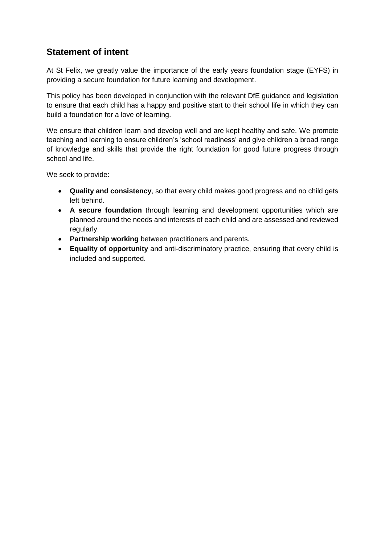## <span id="page-2-0"></span>**Statement of intent**

At St Felix, we greatly value the importance of the early years foundation stage (EYFS) in providing a secure foundation for future learning and development.

This policy has been developed in conjunction with the relevant DfE guidance and legislation to ensure that each child has a happy and positive start to their school life in which they can build a foundation for a love of learning.

We ensure that children learn and develop well and are kept healthy and safe. We promote teaching and learning to ensure children's 'school readiness' and give children a broad range of knowledge and skills that provide the right foundation for good future progress through school and life.

We seek to provide:

- **Quality and consistency**, so that every child makes good progress and no child gets left behind.
- **A secure foundation** through learning and development opportunities which are planned around the needs and interests of each child and are assessed and reviewed regularly.
- **Partnership working** between practitioners and parents.
- **Equality of opportunity** and anti-discriminatory practice, ensuring that every child is included and supported.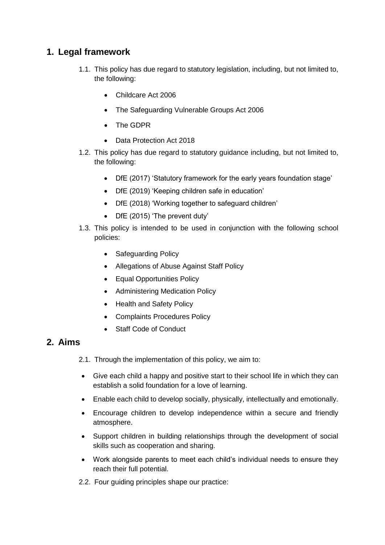## **1. Legal framework**

- 1.1. This policy has due regard to statutory legislation, including, but not limited to, the following:
	- Childcare Act 2006
	- The Safeguarding Vulnerable Groups Act 2006
	- The GDPR
	- Data Protection Act 2018
- 1.2. This policy has due regard to statutory guidance including, but not limited to, the following:
	- DfE (2017) 'Statutory framework for the early years foundation stage'
	- DfE (2019) 'Keeping children safe in education'
	- DfE (2018) 'Working together to safeguard children'
	- DfE (2015) 'The prevent duty'
- 1.3. This policy is intended to be used in conjunction with the following school policies:
	- Safeguarding Policy
	- Allegations of Abuse Against Staff Policy
	- Equal Opportunities Policy
	- Administering Medication Policy
	- Health and Safety Policy
	- Complaints Procedures Policy
	- Staff Code of Conduct

#### **2. Aims**

2.1. Through the implementation of this policy, we aim to:

- Give each child a happy and positive start to their school life in which they can establish a solid foundation for a love of learning.
- Enable each child to develop socially, physically, intellectually and emotionally.
- Encourage children to develop independence within a secure and friendly atmosphere.
- Support children in building relationships through the development of social skills such as cooperation and sharing.
- Work alongside parents to meet each child's individual needs to ensure they reach their full potential.
- 2.2. Four guiding principles shape our practice: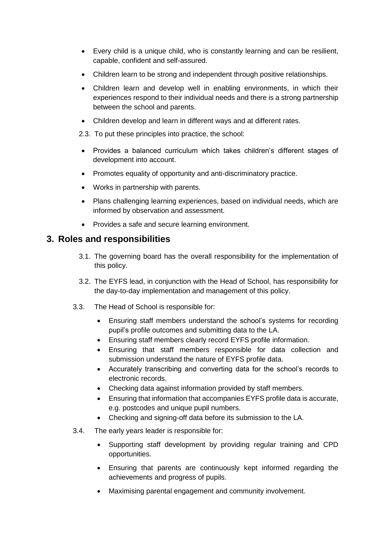- Every child is a unique child, who is constantly learning and can be resilient, capable, confident and self-assured.
- Children learn to be strong and independent through positive relationships.
- Children learn and develop well in enabling environments, in which their experiences respond to their individual needs and there is a strong partnership between the school and parents.
- Children develop and learn in different ways and at different rates.

2.3. To put these principles into practice, the school:

- Provides a balanced curriculum which takes children's different stages of development into account.
- Promotes equality of opportunity and anti-discriminatory practice.
- Works in partnership with parents.
- Plans challenging learning experiences, based on individual needs, which are informed by observation and assessment.
- Provides a safe and secure learning environment.

#### **3. Roles and responsibilities**

- 3.1. The governing board has the overall responsibility for the implementation of this policy.
- 3.2. The EYFS lead, in conjunction with the Head of School, has responsibility for the day-to-day implementation and management of this policy.
- 3.3. The Head of School is responsible for:
	- Ensuring staff members understand the school's systems for recording pupil's profile outcomes and submitting data to the LA.
	- Ensuring staff members clearly record EYFS profile information.
	- Ensuring that staff members responsible for data collection and submission understand the nature of EYFS profile data.
	- Accurately transcribing and converting data for the school's records to electronic records.
	- Checking data against information provided by staff members.
	- Ensuring that information that accompanies EYFS profile data is accurate, e.g. postcodes and unique pupil numbers.
	- Checking and signing-off data before its submission to the LA.
- 3.4. The early years leader is responsible for:
	- Supporting staff development by providing regular training and CPD opportunities.
	- Ensuring that parents are continuously kept informed regarding the achievements and progress of pupils.
	- Maximising parental engagement and community involvement.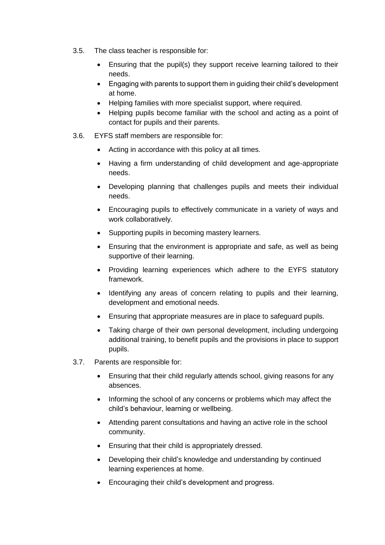- 3.5. The class teacher is responsible for:
	- Ensuring that the pupil(s) they support receive learning tailored to their needs.
	- Engaging with parents to support them in guiding their child's development at home.
	- Helping families with more specialist support, where required.
	- Helping pupils become familiar with the school and acting as a point of contact for pupils and their parents.
- 3.6. EYFS staff members are responsible for:
	- Acting in accordance with this policy at all times.
	- Having a firm understanding of child development and age-appropriate needs.
	- Developing planning that challenges pupils and meets their individual needs.
	- Encouraging pupils to effectively communicate in a variety of ways and work collaboratively.
	- Supporting pupils in becoming mastery learners.
	- Ensuring that the environment is appropriate and safe, as well as being supportive of their learning.
	- Providing learning experiences which adhere to the EYFS statutory framework.
	- Identifying any areas of concern relating to pupils and their learning, development and emotional needs.
	- Ensuring that appropriate measures are in place to safeguard pupils.
	- Taking charge of their own personal development, including undergoing additional training, to benefit pupils and the provisions in place to support pupils.
- 3.7. Parents are responsible for:
	- Ensuring that their child regularly attends school, giving reasons for any absences.
	- Informing the school of any concerns or problems which may affect the child's behaviour, learning or wellbeing.
	- Attending parent consultations and having an active role in the school community.
	- Ensuring that their child is appropriately dressed.
	- Developing their child's knowledge and understanding by continued learning experiences at home.
	- Encouraging their child's development and progress.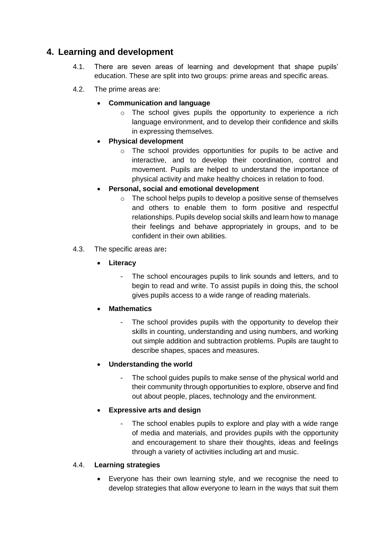## <span id="page-6-0"></span>**4. Learning and development**

- 4.1. There are seven areas of learning and development that shape pupils' education. These are split into two groups: prime areas and specific areas.
- 4.2. The prime areas are:
	- **Communication and language** 
		- $\circ$  The school gives pupils the opportunity to experience a rich language environment, and to develop their confidence and skills in expressing themselves.
	- **Physical development**
		- o The school provides opportunities for pupils to be active and interactive, and to develop their coordination, control and movement. Pupils are helped to understand the importance of physical activity and make healthy choices in relation to food.
	- **Personal, social and emotional development**
		- $\circ$  The school helps pupils to develop a positive sense of themselves and others to enable them to form positive and respectful relationships. Pupils develop social skills and learn how to manage their feelings and behave appropriately in groups, and to be confident in their own abilities.
- 4.3. The specific areas are**:**
	- **Literacy** 
		- The school encourages pupils to link sounds and letters, and to begin to read and write. To assist pupils in doing this, the school gives pupils access to a wide range of reading materials.
	- **Mathematics** 
		- The school provides pupils with the opportunity to develop their skills in counting, understanding and using numbers, and working out simple addition and subtraction problems. Pupils are taught to describe shapes, spaces and measures.

#### **Understanding the world**

- The school guides pupils to make sense of the physical world and their community through opportunities to explore, observe and find out about people, places, technology and the environment.
- **Expressive arts and design** 
	- The school enables pupils to explore and play with a wide range of media and materials, and provides pupils with the opportunity and encouragement to share their thoughts, ideas and feelings through a variety of activities including art and music.

#### 4.4. **Learning strategies**

 Everyone has their own learning style, and we recognise the need to develop strategies that allow everyone to learn in the ways that suit them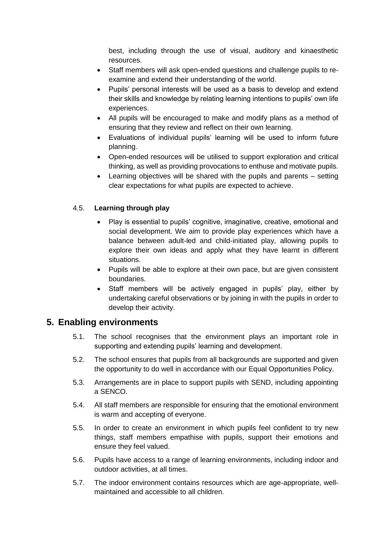best, including through the use of visual, auditory and kinaesthetic resources.

- Staff members will ask open-ended questions and challenge pupils to reexamine and extend their understanding of the world.
- Pupils' personal interests will be used as a basis to develop and extend their skills and knowledge by relating learning intentions to pupils' own life experiences.
- All pupils will be encouraged to make and modify plans as a method of ensuring that they review and reflect on their own learning.
- Evaluations of individual pupils' learning will be used to inform future planning.
- Open-ended resources will be utilised to support exploration and critical thinking, as well as providing provocations to enthuse and motivate pupils.
- Learning objectives will be shared with the pupils and parents setting clear expectations for what pupils are expected to achieve.

#### 4.5. **Learning through play**

- Play is essential to pupils' cognitive, imaginative, creative, emotional and social development. We aim to provide play experiences which have a balance between adult-led and child-initiated play, allowing pupils to explore their own ideas and apply what they have learnt in different situations.
- Pupils will be able to explore at their own pace, but are given consistent boundaries.
- Staff members will be actively engaged in pupils' play, either by undertaking careful observations or by joining in with the pupils in order to develop their activity.

#### **5. Enabling environments**

- 5.1. The school recognises that the environment plays an important role in supporting and extending pupils' learning and development.
- 5.2. The school ensures that pupils from all backgrounds are supported and given the opportunity to do well in accordance with our Equal Opportunities Policy.
- 5.3. Arrangements are in place to support pupils with SEND, including appointing a SENCO.
- 5.4. All staff members are responsible for ensuring that the emotional environment is warm and accepting of everyone.
- 5.5. In order to create an environment in which pupils feel confident to try new things, staff members empathise with pupils, support their emotions and ensure they feel valued.
- 5.6. Pupils have access to a range of learning environments, including indoor and outdoor activities, at all times.
- 5.7. The indoor environment contains resources which are age-appropriate, wellmaintained and accessible to all children.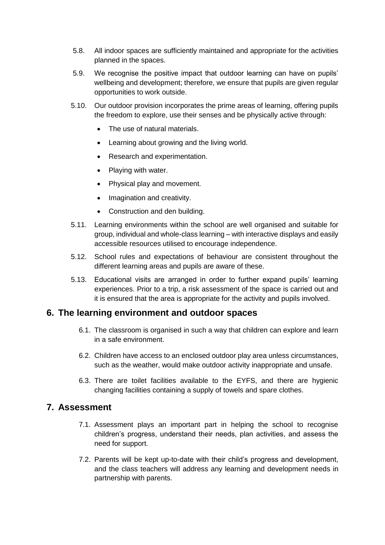- 5.8. All indoor spaces are sufficiently maintained and appropriate for the activities planned in the spaces.
- 5.9. We recognise the positive impact that outdoor learning can have on pupils' wellbeing and development; therefore, we ensure that pupils are given regular opportunities to work outside.
- 5.10. Our outdoor provision incorporates the prime areas of learning, offering pupils the freedom to explore, use their senses and be physically active through:
	- The use of natural materials.
	- Learning about growing and the living world.
	- Research and experimentation.
	- Playing with water.
	- Physical play and movement.
	- Imagination and creativity.
	- Construction and den building.
- 5.11. Learning environments within the school are well organised and suitable for group, individual and whole-class learning – with interactive displays and easily accessible resources utilised to encourage independence.
- 5.12. School rules and expectations of behaviour are consistent throughout the different learning areas and pupils are aware of these.
- 5.13. Educational visits are arranged in order to further expand pupils' learning experiences. Prior to a trip, a risk assessment of the space is carried out and it is ensured that the area is appropriate for the activity and pupils involved.

#### <span id="page-8-0"></span>**6. The learning environment and outdoor spaces**

- 6.1. The classroom is organised in such a way that children can explore and learn in a safe environment.
- 6.2. Children have access to an enclosed outdoor play area unless circumstances, such as the weather, would make outdoor activity inappropriate and unsafe.
- 6.3. There are toilet facilities available to the EYFS, and there are hygienic changing facilities containing a supply of towels and spare clothes.

#### <span id="page-8-1"></span>**7. Assessment**

- 7.1. Assessment plays an important part in helping the school to recognise children's progress, understand their needs, plan activities, and assess the need for support.
- 7.2. Parents will be kept up-to-date with their child's progress and development, and the class teachers will address any learning and development needs in partnership with parents.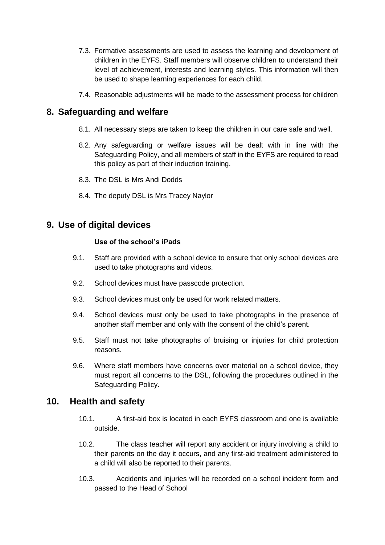- 7.3. Formative assessments are used to assess the learning and development of children in the EYFS. Staff members will observe children to understand their level of achievement, interests and learning styles. This information will then be used to shape learning experiences for each child.
- 7.4. Reasonable adjustments will be made to the assessment process for children

### <span id="page-9-0"></span>**8. Safeguarding and welfare**

- 8.1. All necessary steps are taken to keep the children in our care safe and well.
- 8.2. Any safeguarding or welfare issues will be dealt with in line with the Safeguarding Policy, and all members of staff in the EYFS are required to read this policy as part of their induction training.
- 8.3. The DSL is Mrs Andi Dodds
- 8.4. The deputy DSL is Mrs Tracey Naylor

## <span id="page-9-1"></span>**9. Use of digital devices**

#### **Use of the school's iPads**

- 9.1. Staff are provided with a school device to ensure that only school devices are used to take photographs and videos.
- 9.2. School devices must have passcode protection.
- 9.3. School devices must only be used for work related matters.
- 9.4. School devices must only be used to take photographs in the presence of another staff member and only with the consent of the child's parent.
- 9.5. Staff must not take photographs of bruising or injuries for child protection reasons.
- 9.6. Where staff members have concerns over material on a school device, they must report all concerns to the DSL, following the procedures outlined in the Safeguarding Policy.

#### <span id="page-9-2"></span>**10. Health and safety**

- 10.1. A first-aid box is located in each EYFS classroom and one is available outside.
- 10.2. The class teacher will report any accident or injury involving a child to their parents on the day it occurs, and any first-aid treatment administered to a child will also be reported to their parents.
- 10.3. Accidents and injuries will be recorded on a school incident form and passed to the Head of School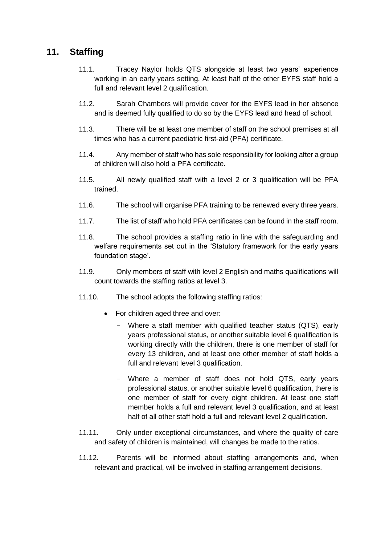## <span id="page-10-0"></span>**11. Staffing**

- 11.1. Tracey Naylor holds QTS alongside at least two years' experience working in an early years setting. At least half of the other EYFS staff hold a full and relevant level 2 qualification.
- 11.2. Sarah Chambers will provide cover for the EYFS lead in her absence and is deemed fully qualified to do so by the EYFS lead and head of school.
- 11.3. There will be at least one member of staff on the school premises at all times who has a current paediatric first-aid (PFA) certificate.
- 11.4. Any member of staff who has sole responsibility for looking after a group of children will also hold a PFA certificate.
- 11.5. All newly qualified staff with a level 2 or 3 qualification will be PFA trained.
- 11.6. The school will organise PFA training to be renewed every three years.
- 11.7. The list of staff who hold PFA certificates can be found in the staff room.
- 11.8. The school provides a staffing ratio in line with the safeguarding and welfare requirements set out in the 'Statutory framework for the early years foundation stage'.
- 11.9. Only members of staff with level 2 English and maths qualifications will count towards the staffing ratios at level 3.
- 11.10. The school adopts the following staffing ratios:
	- For children aged three and over:
		- Where a staff member with qualified teacher status (QTS), early years professional status, or another suitable level 6 qualification is working directly with the children, there is one member of staff for every 13 children, and at least one other member of staff holds a full and relevant level 3 qualification.
		- Where a member of staff does not hold QTS, early years professional status, or another suitable level 6 qualification, there is one member of staff for every eight children. At least one staff member holds a full and relevant level 3 qualification, and at least half of all other staff hold a full and relevant level 2 qualification.
- 11.11. Only under exceptional circumstances, and where the quality of care and safety of children is maintained, will changes be made to the ratios.
- 11.12. Parents will be informed about staffing arrangements and, when relevant and practical, will be involved in staffing arrangement decisions.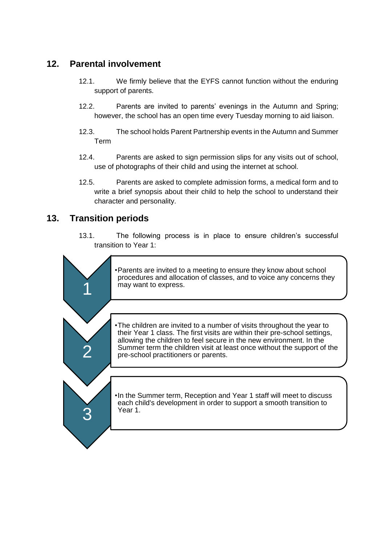## <span id="page-11-0"></span>**12. Parental involvement**

- 12.1. We firmly believe that the EYFS cannot function without the enduring support of parents.
- 12.2. Parents are invited to parents' evenings in the Autumn and Spring; however, the school has an open time every Tuesday morning to aid liaison.
- 12.3. The school holds Parent Partnership events in the Autumn and Summer Term
- 12.4. Parents are asked to sign permission slips for any visits out of school, use of photographs of their child and using the internet at school.
- 12.5. Parents are asked to complete admission forms, a medical form and to write a brief synopsis about their child to help the school to understand their character and personality.

## <span id="page-11-1"></span>**13. Transition periods**

13.1. The following process is in place to ensure children's successful transition to Year 1: